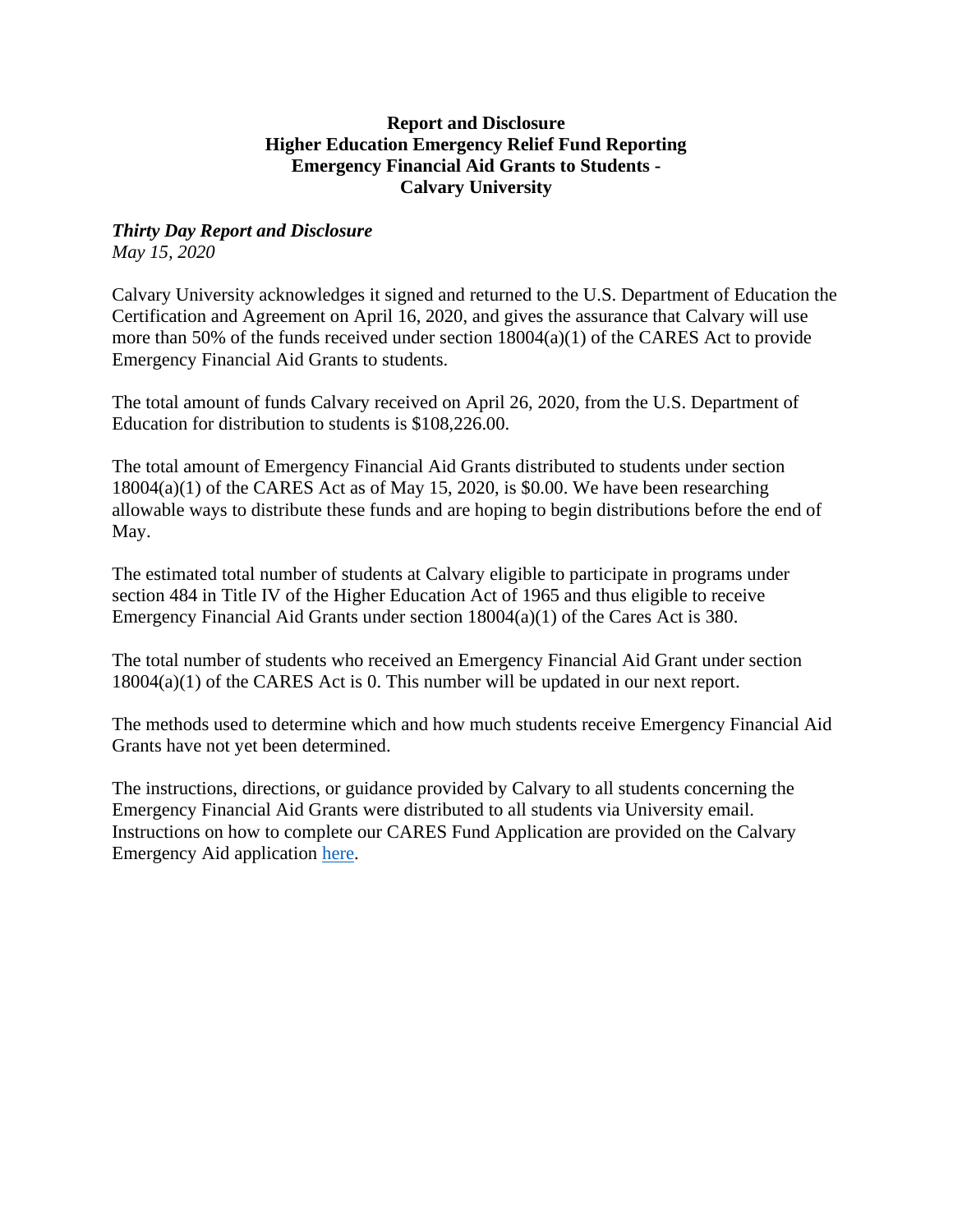## **Report and Disclosure Higher Education Emergency Relief Fund Reporting Emergency Financial Aid Grants to Students - Calvary University**

## *Thirty Day Report and Disclosure*

*May 15, 2020*

Calvary University acknowledges it signed and returned to the U.S. Department of Education the Certification and Agreement on April 16, 2020, and gives the assurance that Calvary will use more than 50% of the funds received under section 18004(a)(1) of the CARES Act to provide Emergency Financial Aid Grants to students.

The total amount of funds Calvary received on April 26, 2020, from the U.S. Department of Education for distribution to students is \$108,226.00.

The total amount of Emergency Financial Aid Grants distributed to students under section  $18004(a)(1)$  of the CARES Act as of May 15, 2020, is \$0.00. We have been researching allowable ways to distribute these funds and are hoping to begin distributions before the end of May.

The estimated total number of students at Calvary eligible to participate in programs under section 484 in Title IV of the Higher Education Act of 1965 and thus eligible to receive Emergency Financial Aid Grants under section 18004(a)(1) of the Cares Act is 380.

The total number of students who received an Emergency Financial Aid Grant under section 18004(a)(1) of the CARES Act is 0. This number will be updated in our next report.

The methods used to determine which and how much students receive Emergency Financial Aid Grants have not yet been determined.

The instructions, directions, or guidance provided by Calvary to all students concerning the Emergency Financial Aid Grants were distributed to all students via University email. Instructions on how to complete our CARES Fund Application are provided on the Calvary Emergency Aid application [here.](https://docs.google.com/forms/d/e/1FAIpQLSdbwH4vSSxfg3T3D5vTpOGFdz49ti3aLTHS7vdDDvXzYrsjNw/viewform?usp=sf_link)